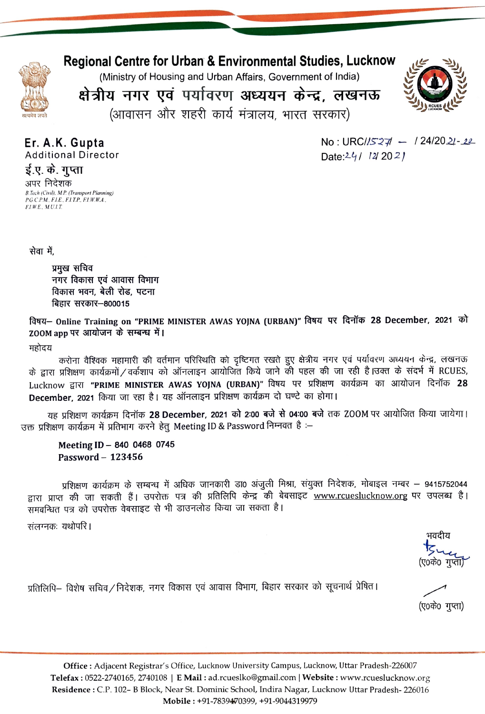

## Regional Centre for Urban & Environmental Studies, Lucknow

(Ministry of Housing and Urban Affairs, Government of India)



क्षेत्रीय नगर एवं पर्यावरण अध्ययन केन्द्र, लखनऊ (आवासन और शहरी कार्य मंत्रालय, भारत सरकार)

**ई.ए. के. गुप्ता**<br>अपर निदेशक

**Er. A.K. Gupta**  $\begin{array}{ccc} \textsf{N}_0: \textsf{URCI/52}\neq & - & 24/20.21-22. \ \textsf{Additional Director} & \textsf{N}_0: \textsf{URCI/52}\neq & - & 24/20.21-22. \end{array}$ Date: $24/ 12 202$ 

B.Tech (Civil), M.P. (Transport Planning)<br>P.G.C.P.M., F.I.E., F.I.T.P., F.I.W.W.A., ELWE., M.U.L.T.

सेवा में.

प्रमुख सचिव नगर विकास एवं आवास विभाग विकास भवन, बेली रोड, पटना <u>बिहार सरकार-800015</u>

विषय– Online Training on "PRIME MINISTER AWAS YOJNA (URBAN)" विषय पर दिनॉक 28 December, 2021 को ZOOM app पर आयोजन के सम्बन्ध में।

महोदय

करोना वैश्विक महामारी की वर्तमान परिस्थिति को दृष्टिगत रखते हुए क्षेत्रीय नगर एवं पर्यावरण अध्ययन केन्द्र, लखनऊ<br>के द्वारा प्रशिक्षण कार्यक्रमों / वर्कशाप को ऑनलाइन आयोजित किये जाने की पहल की जा रही है।उक्त के संदर्भ में R December, 2021 किया जा रहा है। यह ऑनलाइन प्रशिक्षण कार्यक्रम दो घण्टे का होगा।

यह प्रशिक्षण कार्यक्रम दिनॉक 28 December, 2021 को 2:00 बजे से 04:00 बजे तक ZOOM पर आयोजित किया जायेगा। उक्त प्रशिक्षण कार्यक्रम में प्रतिभाग करने हेतु Meeting ID & Password निम्नवत है :-

Meeting ID- 840 0468 0745 Password- 123456

प्रशिक्षण कार्यक्रम के सम्बन्ध में अधिक जानकारी डा0 अंजुली मिश्रा, संयुक्त निदेशक, मोबाइल नम्बर – 9415752044 द्वारा प्राप्त की जा सकती हैं। उपरोक्त पत्र की प्रतिलिपि केन्द्र की बेबसाइट www.rcueslucknow.org पर उपलब्ध है। समबन्धित पत्र को उपरोक्त वेबसाइट से भी डाउनलोड किया जा सकता है।

संलग्नकः यथोपरि ।

भवदीय

प्रतिलिपि– विशेष सचिव/निदेशक, नगर विकास एवं आवास विभाग, बिहार सरकार को सूचनार्थ प्रेषित।

(ए०के० गुप्ता)